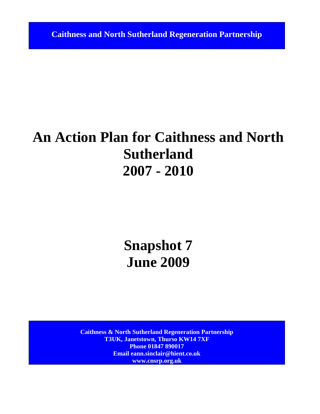**Caithness and North Sutherland Regeneration Partnership**

# **An Action Plan for Caithness and North Sutherland 2007 - 2010**

# **Snapshot 7 June 2009**

**Caithness & North Sutherland Regeneration Partnership T3UK, Janetstown, Thurso KW14 7XF Phone 01847 890017 Email eann.sinclair@hient.co.uk www.cnsrp.org.uk**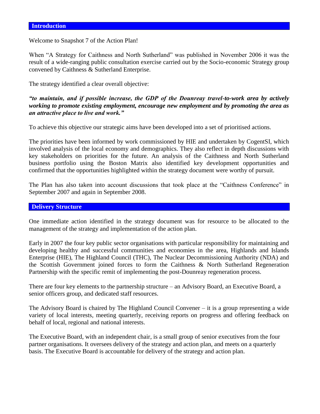Welcome to Snapshot 7 of the Action Plan!

When "A Strategy for Caithness and North Sutherland" was published in November 2006 it was the result of a wide-ranging public consultation exercise carried out by the Socio-economic Strategy group convened by Caithness & Sutherland Enterprise.

The strategy identified a clear overall objective:

#### *"to maintain, and if possible increase, the GDP of the Dounreay travel-to-work area by actively working to promote existing employment, encourage new employment and by promoting the area as an attractive place to live and work."*

To achieve this objective our strategic aims have been developed into a set of prioritised actions.

The priorities have been informed by work commissioned by HIE and undertaken by CogentSI, which involved analysis of the local economy and demographics. They also reflect in depth discussions with key stakeholders on priorities for the future. An analysis of the Caithness and North Sutherland business portfolio using the Boston Matrix also identified key development opportunities and confirmed that the opportunities highlighted within the strategy document were worthy of pursuit.

The Plan has also taken into account discussions that took place at the "Caithness Conference" in September 2007 and again in September 2008.

#### **Delivery Structure**

One immediate action identified in the strategy document was for resource to be allocated to the management of the strategy and implementation of the action plan.

Early in 2007 the four key public sector organisations with particular responsibility for maintaining and developing healthy and successful communities and economies in the area, Highlands and Islands Enterprise (HIE), The Highland Council (THC), The Nuclear Decommissioning Authority (NDA) and the Scottish Government joined forces to form the Caithness & North Sutherland Regeneration Partnership with the specific remit of implementing the post-Dounreay regeneration process.

There are four key elements to the partnership structure – an Advisory Board, an Executive Board, a senior officers group, and dedicated staff resources.

The Advisory Board is chaired by The Highland Council Convener – it is a group representing a wide variety of local interests, meeting quarterly, receiving reports on progress and offering feedback on behalf of local, regional and national interests.

The Executive Board, with an independent chair, is a small group of senior executives from the four partner organisations. It oversees delivery of the strategy and action plan, and meets on a quarterly basis. The Executive Board is accountable for delivery of the strategy and action plan.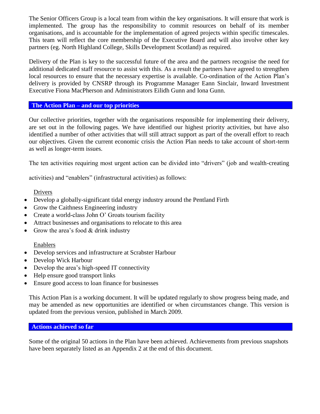The Senior Officers Group is a local team from within the key organisations. It will ensure that work is implemented. The group has the responsibility to commit resources on behalf of its member organisations, and is accountable for the implementation of agreed projects within specific timescales. This team will reflect the core membership of the Executive Board and will also involve other key partners (eg. North Highland College, Skills Development Scotland) as required.

Delivery of the Plan is key to the successful future of the area and the partners recognise the need for additional dedicated staff resource to assist with this. As a result the partners have agreed to strengthen local resources to ensure that the necessary expertise is available. Co-ordination of the Action Plan's delivery is provided by CNSRP through its Programme Manager Eann Sinclair, Inward Investment Executive Fiona MacPherson and Administrators Eilidh Gunn and Iona Gunn.

#### **The Action Plan – and our top priorities**

Our collective priorities, together with the organisations responsible for implementing their delivery, are set out in the following pages. We have identified our highest priority activities, but have also identified a number of other activities that will still attract support as part of the overall effort to reach our objectives. Given the current economic crisis the Action Plan needs to take account of short-term as well as longer-term issues.

The ten activities requiring most urgent action can be divided into "drivers" (job and wealth-creating

activities) and "enablers" (infrastructural activities) as follows:

#### Drivers

- Develop a globally-significant tidal energy industry around the Pentland Firth
- Grow the Caithness Engineering industry
- Create a world-class John O' Groats tourism facility
- Attract businesses and organisations to relocate to this area
- Grow the area's food  $&$  drink industry

#### Enablers

- Develop services and infrastructure at Scrabster Harbour
- Develop Wick Harbour
- Develop the area's high-speed IT connectivity
- Help ensure good transport links
- Ensure good access to loan finance for businesses

This Action Plan is a working document. It will be updated regularly to show progress being made, and may be amended as new opportunities are identified or when circumstances change. This version is updated from the previous version, published in March 2009.

#### **Actions achieved so far**

Some of the original 50 actions in the Plan have been achieved. Achievements from previous snapshots have been separately listed as an Appendix 2 at the end of this document.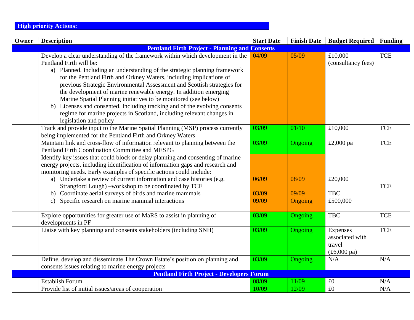### **High priority Actions:**

| Owner | <b>Description</b>                                                                                                                                                                                                                                                                                                                                                                                                                                                                                                                                                                                                                                                | <b>Start Date</b>       | <b>Finish Date</b>        | <b>Budget Required   Funding</b>                                            |            |
|-------|-------------------------------------------------------------------------------------------------------------------------------------------------------------------------------------------------------------------------------------------------------------------------------------------------------------------------------------------------------------------------------------------------------------------------------------------------------------------------------------------------------------------------------------------------------------------------------------------------------------------------------------------------------------------|-------------------------|---------------------------|-----------------------------------------------------------------------------|------------|
|       | <b>Pentland Firth Project - Planning and Consents</b>                                                                                                                                                                                                                                                                                                                                                                                                                                                                                                                                                                                                             |                         |                           |                                                                             |            |
|       | Develop a clear understanding of the framework within which development in the<br>Pentland Firth will be:<br>a) Planned. Including an understanding of the strategic planning framework<br>for the Pentland Firth and Orkney Waters, including implications of<br>previous Strategic Environmental Assessment and Scottish strategies for<br>the development of marine renewable energy. In addition emerging<br>Marine Spatial Planning initiatives to be monitored (see below)<br>b) Licenses and consented. Including tracking and of the evolving consents<br>regime for marine projects in Scotland, including relevant changes in<br>legislation and policy | 04/09                   | 05/09                     | £10,000<br>(consultancy fees)                                               | <b>TCE</b> |
|       | Track and provide input to the Marine Spatial Planning (MSP) process currently<br>being implemented for the Pentland Firth and Orkney Waters                                                                                                                                                                                                                                                                                                                                                                                                                                                                                                                      | 03/09                   | 01/10                     | £10,000                                                                     | <b>TCE</b> |
|       | Maintain link and cross-flow of information relevant to planning between the<br>Pentland Firth Coordination Committee and MESPG                                                                                                                                                                                                                                                                                                                                                                                                                                                                                                                                   | 03/09                   | Ongoing                   | £2,000 pa                                                                   | <b>TCE</b> |
|       | Identify key issues that could block or delay planning and consenting of marine<br>energy projects, including identification of information gaps and research and<br>monitoring needs. Early examples of specific actions could include:<br>a) Undertake a review of current information and case histories (e.g.<br>Strangford Lough) -workshop to be coordinated by TCE<br>b) Coordinate aerial surveys of birds and marine mammals<br>Specific research on marine mammal interactions<br>$\mathbf{c}$ )                                                                                                                                                        | 06/09<br>03/09<br>09/09 | 08/09<br>09/09<br>Ongoing | £20,000<br><b>TBC</b><br>£500,000                                           | <b>TCE</b> |
|       | Explore opportunities for greater use of MaRS to assist in planning of<br>developments in PF                                                                                                                                                                                                                                                                                                                                                                                                                                                                                                                                                                      | 03/09                   | Ongoing                   | <b>TBC</b>                                                                  | <b>TCE</b> |
|       | Liaise with key planning and consents stakeholders (including SNH)                                                                                                                                                                                                                                                                                                                                                                                                                                                                                                                                                                                                | 03/09                   | Ongoing                   | Expenses<br>associated with<br>travel<br>$(\text{\pounds}6,000 \text{ pa})$ | <b>TCE</b> |
|       | Define, develop and disseminate The Crown Estate's position on planning and<br>consents issues relating to marine energy projects                                                                                                                                                                                                                                                                                                                                                                                                                                                                                                                                 | 03/09                   | Ongoing                   | N/A                                                                         | N/A        |
|       | <b>Pentland Firth Project - Developers Forum</b>                                                                                                                                                                                                                                                                                                                                                                                                                                                                                                                                                                                                                  |                         |                           |                                                                             |            |
|       | <b>Establish Forum</b>                                                                                                                                                                                                                                                                                                                                                                                                                                                                                                                                                                                                                                            | 08/09                   | 11/09                     | $\pounds 0$                                                                 | N/A        |
|       | Provide list of initial issues/areas of cooperation                                                                                                                                                                                                                                                                                                                                                                                                                                                                                                                                                                                                               | 10/09                   | 12/09                     | £0                                                                          | N/A        |
|       |                                                                                                                                                                                                                                                                                                                                                                                                                                                                                                                                                                                                                                                                   |                         |                           |                                                                             |            |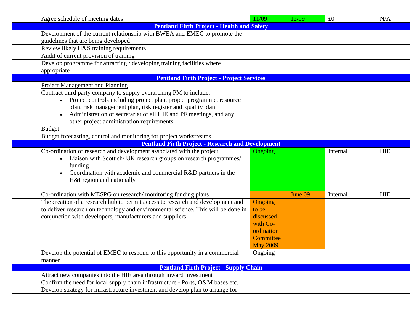| Agree schedule of meeting dates                                                   | 11/09           | 12/09   | £0       | N/A        |
|-----------------------------------------------------------------------------------|-----------------|---------|----------|------------|
| <b>Pentland Firth Project - Health and Safety</b>                                 |                 |         |          |            |
| Development of the current relationship with BWEA and EMEC to promote the         |                 |         |          |            |
| guidelines that are being developed                                               |                 |         |          |            |
| Review likely H&S training requirements                                           |                 |         |          |            |
| Audit of current provision of training                                            |                 |         |          |            |
| Develop programme for attracting / developing training facilities where           |                 |         |          |            |
| appropriate                                                                       |                 |         |          |            |
| <b>Pentland Firth Project - Project Services</b>                                  |                 |         |          |            |
| Project Management and Planning                                                   |                 |         |          |            |
| Contract third party company to supply overarching PM to include:                 |                 |         |          |            |
| Project controls including project plan, project programme, resource              |                 |         |          |            |
| plan, risk management plan, risk register and quality plan                        |                 |         |          |            |
| Administration of secretariat of all HIE and PF meetings, and any<br>$\bullet$    |                 |         |          |            |
| other project administration requirements                                         |                 |         |          |            |
| <b>Budget</b>                                                                     |                 |         |          |            |
| Budget forecasting, control and monitoring for project workstreams                |                 |         |          |            |
| <b>Pentland Firth Project - Research and Development</b>                          |                 |         |          |            |
| Co-ordination of research and development associated with the project.            | <b>Ongoing</b>  |         | Internal | <b>HIE</b> |
| Liaison with Scottish/ UK research groups on research programmes/<br>$\bullet$    |                 |         |          |            |
| funding                                                                           |                 |         |          |            |
| Coordination with academic and commercial R&D partners in the<br>$\bullet$        |                 |         |          |            |
| H&I region and nationally                                                         |                 |         |          |            |
|                                                                                   |                 |         |          |            |
| Co-ordination with MESPG on research/monitoring funding plans                     |                 | June 09 | Internal | <b>HIE</b> |
| The creation of a research hub to permit access to research and development and   | Ongoing-        |         |          |            |
| to deliver research on technology and environmental science. This will be done in | to be           |         |          |            |
| conjunction with developers, manufacturers and suppliers.                         | discussed       |         |          |            |
|                                                                                   | with Co-        |         |          |            |
|                                                                                   | ordination      |         |          |            |
|                                                                                   | Committee       |         |          |            |
|                                                                                   | <b>May 2009</b> |         |          |            |
| Develop the potential of EMEC to respond to this opportunity in a commercial      | Ongoing         |         |          |            |
| manner                                                                            |                 |         |          |            |
| <b>Pentland Firth Project - Supply Chain</b>                                      |                 |         |          |            |
| Attract new companies into the HIE area through inward investment                 |                 |         |          |            |
| Confirm the need for local supply chain infrastructure - Ports, O&M bases etc.    |                 |         |          |            |
| Develop strategy for infrastructure investment and develop plan to arrange for    |                 |         |          |            |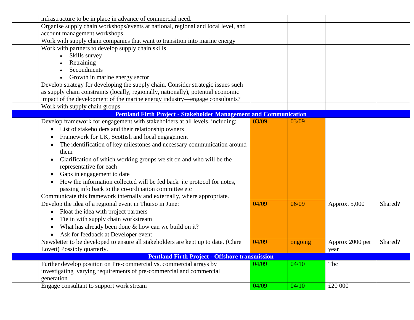| infrastructure to be in place in advance of commercial need.                      |       |         |                 |         |
|-----------------------------------------------------------------------------------|-------|---------|-----------------|---------|
| Organise supply chain workshops/events at national, regional and local level, and |       |         |                 |         |
| account management workshops                                                      |       |         |                 |         |
| Work with supply chain companies that want to transition into marine energy       |       |         |                 |         |
| Work with partners to develop supply chain skills                                 |       |         |                 |         |
| Skills survey                                                                     |       |         |                 |         |
| Retraining                                                                        |       |         |                 |         |
| Secondments                                                                       |       |         |                 |         |
| Growth in marine energy sector                                                    |       |         |                 |         |
| Develop strategy for developing the supply chain. Consider strategic issues such  |       |         |                 |         |
| as supply chain constraints (locally, regionally, nationally), potential economic |       |         |                 |         |
| impact of the development of the marine energy industry—engage consultants?       |       |         |                 |         |
| Work with supply chain groups                                                     |       |         |                 |         |
| <b>Pentland Firth Project - Stakeholder Management and Communication</b>          |       |         |                 |         |
| Develop framework for engagement with stakeholders at all levels, including:      | 03/09 | 03/09   |                 |         |
| List of stakeholders and their relationship owners                                |       |         |                 |         |
| Framework for UK, Scottish and local engagement                                   |       |         |                 |         |
| The identification of key milestones and necessary communication around           |       |         |                 |         |
| them                                                                              |       |         |                 |         |
| Clarification of which working groups we sit on and who will be the               |       |         |                 |         |
| representative for each                                                           |       |         |                 |         |
| Gaps in engagement to date                                                        |       |         |                 |         |
| How the information collected will be fed back i.e protocol for notes,            |       |         |                 |         |
| passing info back to the co-ordination committee etc                              |       |         |                 |         |
| Communicate this framework internally and externally, where appropriate.          |       |         |                 |         |
| Develop the idea of a regional event in Thurso in June:                           | 04/09 | 06/09   | Approx. 5,000   | Shared? |
| Float the idea with project partners                                              |       |         |                 |         |
| Tie in with supply chain workstream                                               |       |         |                 |         |
| What has already been done & how can we build on it?                              |       |         |                 |         |
| Ask for feedback at Developer event                                               |       |         |                 |         |
| Newsletter to be developed to ensure all stakeholders are kept up to date. (Clare | 04/09 | ongoing | Approx 2000 per | Shared? |
| Lovett) Possibly quarterly.                                                       |       |         | year            |         |
| <b>Pentland Firth Project - Offshore transmission</b>                             |       |         |                 |         |
| Further develop position on Pre-commercial vs. commercial arrays by               | 04/09 | 04/10   | Tbc             |         |
| investigating varying requirements of pre-commercial and commercial               |       |         |                 |         |
| generation                                                                        |       |         |                 |         |
| Engage consultant to support work stream                                          | 04/09 | 04/10   | £20 000         |         |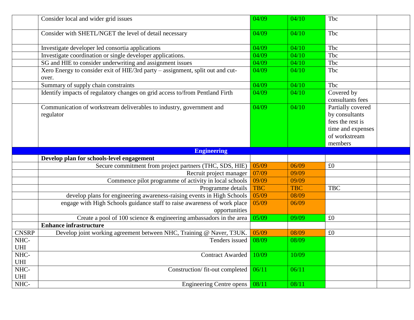|              | Consider local and wider grid issues                                                      | 04/09      | 04/10      | Tbc                                                                                                      |  |
|--------------|-------------------------------------------------------------------------------------------|------------|------------|----------------------------------------------------------------------------------------------------------|--|
|              | Consider with SHETL/NGET the level of detail necessary                                    | 04/09      | 04/10      | Tbc                                                                                                      |  |
|              | Investigate developer led consortia applications                                          | 04/09      | 04/10      | Tbc                                                                                                      |  |
|              | Investigate coordination or single developer applications.                                | 04/09      | 04/10      | Tbc                                                                                                      |  |
|              | SG and HIE to consider underwriting and assignment issues                                 | 04/09      | 04/10      | Tbc                                                                                                      |  |
|              | Xero Energy to consider exit of HIE/3rd party - assignment, split out and cut-<br>over.   | 04/09      | 04/10      | Tbc                                                                                                      |  |
|              | Summary of supply chain constraints                                                       | 04/09      | 04/10      | Tbc                                                                                                      |  |
|              | Identify impacts of regulatory changes on grid access to/from Pentland Firth              | 04/09      | 04/10      | Covered by<br>consultants fees                                                                           |  |
|              | Communication of workstream deliverables to industry, government and<br>regulator         | 04/09      | 04/10      | Partially covered<br>by consultants<br>fees the rest is<br>time and expenses<br>of workstream<br>members |  |
|              | <b>Engineering</b>                                                                        |            |            |                                                                                                          |  |
|              | Develop plan for schools-level engagement                                                 |            |            |                                                                                                          |  |
|              | Secure commitment from project partners (THC, SDS, HIE)                                   | 05/09      | 06/09      | £0                                                                                                       |  |
|              | Recruit project manager                                                                   | 07/09      | 09/09      |                                                                                                          |  |
|              | Commence pilot programme of activity in local schools                                     | 09/09      | 09/09      |                                                                                                          |  |
|              | Programme details                                                                         | <b>TBC</b> | <b>TBC</b> | <b>TBC</b>                                                                                               |  |
|              | develop plans for engineering awareness-raising events in High Schools                    | 05/09      | 08/09      |                                                                                                          |  |
|              | engage with High Schools guidance staff to raise awareness of work place<br>opportunities | 05/09      | 06/09      |                                                                                                          |  |
|              | Create a pool of 100 science & engineering ambassadors in the area                        | 05/09      | 09/09      | £0                                                                                                       |  |
|              | <b>Enhance infrastructure</b>                                                             |            |            |                                                                                                          |  |
| <b>CNSRP</b> |                                                                                           |            |            |                                                                                                          |  |
| NHC-         | Develop joint working agreement between NHC, Training @ Naver, T3UK.                      | 05/09      | 08/09      | £0                                                                                                       |  |
| <b>UHI</b>   | Tenders issued                                                                            | 08/09      | 08/09      |                                                                                                          |  |
| NHC-<br>UHI  | <b>Contract Awarded</b>                                                                   | 10/09      | 10/09      |                                                                                                          |  |
| NHC-<br>UHI  | Construction/fit-out completed                                                            | 06/11      | 06/11      |                                                                                                          |  |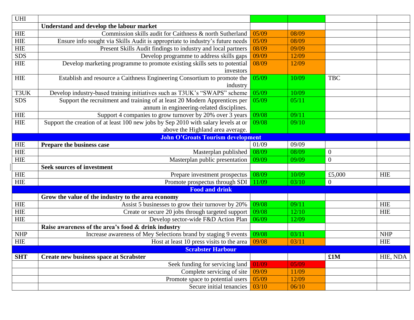| $\ensuremath{\mathsf{UHI}}$        |                                                                                    |       |       |                  |            |
|------------------------------------|------------------------------------------------------------------------------------|-------|-------|------------------|------------|
|                                    | Understand and develop the labour market                                           |       |       |                  |            |
| HIE                                | Commission skills audit for Caithness & north Sutherland                           | 05/09 | 08/09 |                  |            |
| <b>HIE</b>                         | Ensure info sought via Skills Audit is appropriate to industry's future needs      | 05/09 | 08/09 |                  |            |
| HIE                                | Present Skills Audit findings to industry and local partners                       | 08/09 | 09/09 |                  |            |
| SDS                                | Develop programme to address skills gaps                                           | 09/09 | 12/09 |                  |            |
| <b>HIE</b>                         | Develop marketing programme to promote existing skills sets to potential           | 08/09 | 12/09 |                  |            |
|                                    | investors                                                                          |       |       |                  |            |
| HIE                                | Establish and resource a Caithness Engineering Consortium to promote the           | 05/09 | 10/09 | <b>TBC</b>       |            |
|                                    | industry                                                                           |       |       |                  |            |
| T3UK                               | Develop industry-based training initiatives such as T3UK's "SWAPS" scheme          | 05/09 | 10/09 |                  |            |
| <b>SDS</b>                         | Support the recruitment and training of at least 20 Modern Apprentices per         | 05/09 | 05/11 |                  |            |
|                                    | annum in engineering-related disciplines.                                          |       |       |                  |            |
| <b>HIE</b>                         | Support 4 companies to grow turnover by 20% over 3 years                           | 09/08 | 09/11 |                  |            |
| <b>HIE</b>                         | Support the creation of at least 100 new jobs by Sep 2010 with salary levels at or | 09/08 | 09/10 |                  |            |
|                                    | above the Highland area average.                                                   |       |       |                  |            |
|                                    | <b>John O'Groats Tourism development</b>                                           |       |       |                  |            |
| ${\rm HIE}$                        | Prepare the business case                                                          | 01/09 | 09/09 |                  |            |
| ${\rm HIE}$                        | Masterplan published                                                               | 08/09 | 08/09 | $\boldsymbol{0}$ |            |
| ${\rm HIE}$                        | Masterplan public presentation                                                     | 09/09 | 09/09 | $\boldsymbol{0}$ |            |
|                                    | <b>Seek sources of investment</b>                                                  |       |       |                  |            |
| <b>HIE</b>                         | Prepare investment prospectus                                                      | 08/09 | 10/09 | £5,000           | <b>HIE</b> |
| ${\rm HIE}$                        | Promote prospectus through SDI                                                     | 11/09 | 03/10 | $\boldsymbol{0}$ |            |
|                                    | <b>Food and drink</b>                                                              |       |       |                  |            |
|                                    | Grow the value of the industry to the area economy                                 |       |       |                  |            |
| <b>HIE</b>                         | Assist 5 businesses to grow their turnover by 20%                                  | 09/08 | 09/11 |                  | <b>HIE</b> |
| HIE                                | Create or secure 20 jobs through targeted support                                  | 09/08 | 12/10 |                  | <b>HIE</b> |
| ${\rm HIE}$                        | Develop sector-wide F&D Action Plan                                                | 06/09 | 12/09 |                  |            |
|                                    | Raise awareness of the area's food & drink industry                                |       |       |                  |            |
| $\ensuremath{\mathsf{NHP}}\xspace$ | Increase awareness of Mey Selections brand by staging 9 events                     | 09/08 | 03/11 |                  | <b>NHP</b> |
| HIE                                | Host at least 10 press visits to the area                                          | 09/08 | 03/11 |                  | <b>HIE</b> |
|                                    | <b>Scrabster Harbour</b>                                                           |       |       |                  |            |
| <b>SHT</b>                         | <b>Create new business space at Scrabster</b>                                      |       |       | £1M              | HIE, NDA   |
|                                    | Seek funding for servicing land                                                    | 01/09 | 05/09 |                  |            |
|                                    | Complete servicing of site                                                         | 09/09 | 11/09 |                  |            |
|                                    | Promote space to potential users                                                   | 05/09 | 12/09 |                  |            |
|                                    | Secure initial tenancies                                                           | 03/10 | 06/10 |                  |            |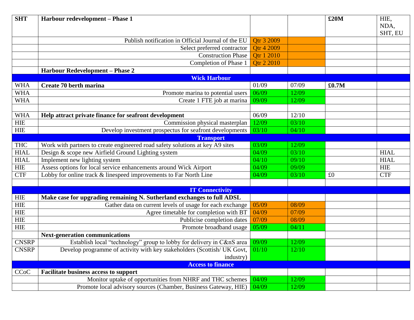| <b>SHT</b>   | Harbour redevelopment - Phase 1                                                                                                    |                                                  |         | £20M  | HIE,            |
|--------------|------------------------------------------------------------------------------------------------------------------------------------|--------------------------------------------------|---------|-------|-----------------|
|              |                                                                                                                                    |                                                  |         |       | NDA,<br>SHT, EU |
|              | Publish notification in Official Journal of the EU                                                                                 | Otr 3 2009                                       |         |       |                 |
|              | Select preferred contractor                                                                                                        | Otr 4 2009                                       |         |       |                 |
|              | <b>Construction Phase</b>                                                                                                          | <b>Qtr 1 2010</b>                                |         |       |                 |
|              | Completion of Phase 1                                                                                                              | Otr 2 2010                                       |         |       |                 |
|              | <b>Harbour Redevelopment - Phase 2</b>                                                                                             |                                                  |         |       |                 |
|              | <b>Wick Harbour</b>                                                                                                                |                                                  |         |       |                 |
| <b>WHA</b>   | Create 70 berth marina                                                                                                             | 01/09                                            | 07/09   | £0.7M |                 |
| <b>WHA</b>   | Promote marina to potential users                                                                                                  | 06/09                                            | 12/09   |       |                 |
| <b>WHA</b>   | Create 1 FTE job at marina                                                                                                         | 09/09                                            | 12/09   |       |                 |
|              |                                                                                                                                    |                                                  |         |       |                 |
| <b>WHA</b>   | Help attract private finance for seafront development                                                                              | 06/09                                            | 12/10   |       |                 |
| ${\rm HIE}$  |                                                                                                                                    | 12/09<br>03/10<br>Commission physical masterplan |         |       |                 |
| ${\rm HIE}$  | Develop investment prospectus for seafront developments                                                                            | 03/10                                            | 04/10   |       |                 |
|              | <b>Transport</b>                                                                                                                   |                                                  |         |       |                 |
| <b>THC</b>   | Work with partners to create engineered road safety solutions at key A9 sites                                                      | 03/09<br>04/09                                   | 12/09   |       |                 |
| <b>HIAL</b>  | Design & scope new Airfield Ground Lighting system                                                                                 |                                                  | 03/10   |       | <b>HIAL</b>     |
| <b>HIAL</b>  | Implement new lighting system                                                                                                      | 04/10                                            | 09/10   |       | <b>HIAL</b>     |
| ${\rm HIE}$  | Assess options for local service enhancements around Wick Airport                                                                  | 04/09<br>04/09                                   | 09/09   |       | <b>HIE</b>      |
| CTF          | Lobby for online track & linespeed improvements to Far North Line                                                                  |                                                  | 03/10   | £0    | <b>CTF</b>      |
|              |                                                                                                                                    |                                                  |         |       |                 |
| ${\sf HIE}$  | <b>IT Connectivity</b>                                                                                                             |                                                  |         |       |                 |
| ${\rm HIE}$  | Make case for upgrading remaining N. Sutherland exchanges to full ADSL<br>Gather data on current levels of usage for each exchange | 05/09                                            | 08/09   |       |                 |
| ${\rm HIE}$  | Agree timetable for completion with BT                                                                                             | 04/09                                            | 07/09   |       |                 |
| ${\rm HIE}$  | Publicise completion dates                                                                                                         | 07/09                                            | 08/09   |       |                 |
| <b>HIE</b>   | Promote broadband usage                                                                                                            | 05/09                                            | 04/11   |       |                 |
|              | <b>Next-generation communications</b>                                                                                              |                                                  |         |       |                 |
| <b>CNSRP</b> | Establish local "technology" group to lobby for delivery in C&nS area                                                              | 09/09                                            | 12/09   |       |                 |
| <b>CNSRP</b> | Develop programme of activity with key stakeholders (Scottish/ UK Govt, $\boxed{01/10}$                                            |                                                  | $12/10$ |       |                 |
|              | industry)                                                                                                                          |                                                  |         |       |                 |
|              | <b>Access to finance</b>                                                                                                           |                                                  |         |       |                 |
| <b>CCoC</b>  | <b>Facilitate business access to support</b>                                                                                       |                                                  |         |       |                 |
|              | Monitor uptake of opportunities from NHRF and THC schemes                                                                          | 04/09                                            | 12/09   |       |                 |
|              | Promote local advisory sources (Chamber, Business Gateway, HIE)                                                                    | 04/09                                            | 12/09   |       |                 |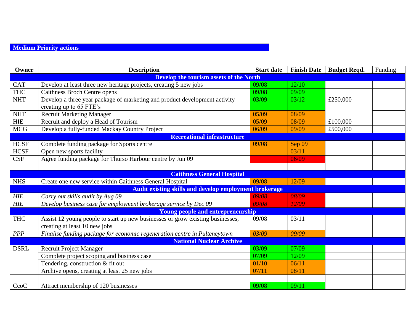## **Medium Priority actions**

| Owner                             | <b>Description</b><br><b>Start date</b>                                        |       | <b>Finish Date</b> | <b>Budget Reqd.</b> | Funding |  |  |  |
|-----------------------------------|--------------------------------------------------------------------------------|-------|--------------------|---------------------|---------|--|--|--|
|                                   | <b>Develop the tourism assets of the North</b>                                 |       |                    |                     |         |  |  |  |
| <b>CAT</b>                        | Develop at least three new heritage projects, creating 5 new jobs              | 09/08 | 12/10              |                     |         |  |  |  |
| <b>THC</b>                        | <b>Caithness Broch Centre opens</b>                                            | 09/08 | 09/09              |                     |         |  |  |  |
| <b>NHT</b>                        | Develop a three year package of marketing and product development activity     | 03/09 | 03/12              | £250,000            |         |  |  |  |
|                                   | creating up to 65 FTE's                                                        |       |                    |                     |         |  |  |  |
| <b>NHT</b>                        | <b>Recruit Marketing Manager</b>                                               | 05/09 | 08/09              |                     |         |  |  |  |
| <b>HIE</b>                        | Recruit and deploy a Head of Tourism                                           | 05/09 | 08/09              | £100,000            |         |  |  |  |
| <b>MCG</b>                        | Develop a fully-funded Mackay Country Project                                  | 06/09 | 09/09              | £500,000            |         |  |  |  |
|                                   | <b>Recreational infrastructure</b>                                             |       |                    |                     |         |  |  |  |
| <b>HCSF</b>                       | Complete funding package for Sports centre                                     | 09/08 | Sep 09             |                     |         |  |  |  |
| <b>HCSF</b>                       | Open new sports facility                                                       |       | 03/11              |                     |         |  |  |  |
| <b>CSF</b>                        | Agree funding package for Thurso Harbour centre by Jun 09                      |       | 06/09              |                     |         |  |  |  |
|                                   |                                                                                |       |                    |                     |         |  |  |  |
| <b>Caithness General Hospital</b> |                                                                                |       |                    |                     |         |  |  |  |
| <b>NHS</b>                        | Create one new service within Caithness General Hospital                       | 09/08 | 12/09              |                     |         |  |  |  |
|                                   | <b>Audit existing skills and develop employment brokerage</b>                  |       |                    |                     |         |  |  |  |
| HIE                               | Carry out skills audit by Aug 09                                               | 09/08 | 08/09              |                     |         |  |  |  |
| $H\!I\!E$                         | Develop business case for employment brokerage service by Dec 09               | 09/08 | 12/09              |                     |         |  |  |  |
|                                   | Young people and entrepreneurship                                              |       |                    |                     |         |  |  |  |
| <b>THC</b>                        | Assist 12 young people to start up new businesses or grow existing businesses, | 09/08 | 03/11              |                     |         |  |  |  |
|                                   | creating at least 10 new jobs                                                  |       |                    |                     |         |  |  |  |
| <b>PPP</b>                        | Finalise funding package for economic regeneration centre in Pulteneytown      | 03/09 | 09/09              |                     |         |  |  |  |
|                                   | <b>National Nuclear Archive</b>                                                |       |                    |                     |         |  |  |  |
| <b>DSRL</b>                       | <b>Recruit Project Manager</b>                                                 | 03/09 | 07/09              |                     |         |  |  |  |
|                                   | Complete project scoping and business case                                     | 07/09 | 12/09              |                     |         |  |  |  |
|                                   | Tendering, construction & fit out                                              | 01/10 | 06/11              |                     |         |  |  |  |
|                                   | Archive opens, creating at least 25 new jobs                                   | 07/11 | 08/11              |                     |         |  |  |  |
|                                   |                                                                                |       |                    |                     |         |  |  |  |
| CcoC                              | Attract membership of 120 businesses                                           | 09/08 | 09/11              |                     |         |  |  |  |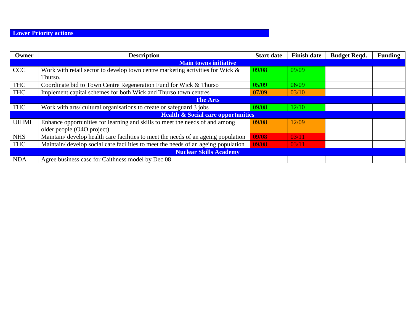# **Lower Priority actions**

| Owner           | <b>Description</b>                                                                 | <b>Start date</b> | <b>Finish date</b> | <b>Budget Reqd.</b> | <b>Funding</b> |  |  |
|-----------------|------------------------------------------------------------------------------------|-------------------|--------------------|---------------------|----------------|--|--|
|                 | <b>Main towns initiative</b>                                                       |                   |                    |                     |                |  |  |
| <b>CCC</b>      | Work with retail sector to develop town centre marketing activities for Wick &     | 09/08             | 09/09              |                     |                |  |  |
|                 | Thurso.                                                                            |                   |                    |                     |                |  |  |
| <b>THC</b>      | Coordinate bid to Town Centre Regeneration Fund for Wick & Thurso                  | 05/09             | 06/09              |                     |                |  |  |
| <b>THC</b>      | Implement capital schemes for both Wick and Thurso town centres                    | 07/09             | 03/10              |                     |                |  |  |
| <b>The Arts</b> |                                                                                    |                   |                    |                     |                |  |  |
| <b>THC</b>      | Work with arts/ cultural organisations to create or safeguard 3 jobs               | 09/08             | 12/10              |                     |                |  |  |
|                 | <b>Health &amp; Social care opportunities</b>                                      |                   |                    |                     |                |  |  |
| UHIMI           | Enhance opportunities for learning and skills to meet the needs of and among       | 09/08             | 12/09              |                     |                |  |  |
|                 | older people (O4O project)                                                         |                   |                    |                     |                |  |  |
| <b>NHS</b>      | Maintain/ develop health care facilities to meet the needs of an ageing population | 09/08             | 03/11              |                     |                |  |  |
| <b>THC</b>      | Maintain/develop social care facilities to meet the needs of an ageing population  | 09/08             | 03/11              |                     |                |  |  |
|                 | <b>Nuclear Skills Academy</b>                                                      |                   |                    |                     |                |  |  |
| <b>NDA</b>      | Agree business case for Caithness model by Dec 08                                  |                   |                    |                     |                |  |  |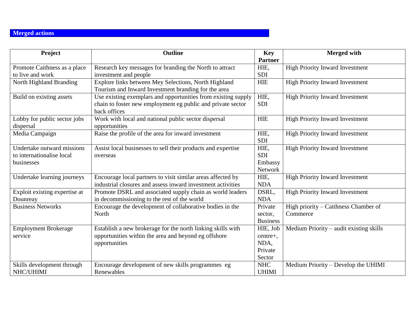## **Merged actions**

| Project                       | <b>Outline</b>                                                | <b>Key</b>      | <b>Merged with</b>                      |
|-------------------------------|---------------------------------------------------------------|-----------------|-----------------------------------------|
|                               |                                                               | <b>Partner</b>  |                                         |
| Promote Caithness as a place  | Research key messages for branding the North to attract       | HIE,            | <b>High Priority Inward Investment</b>  |
| to live and work              | investment and people                                         | <b>SDI</b>      |                                         |
| North Highland Branding       | Explore links between Mey Selections, North Highland          | <b>HIE</b>      | <b>High Priority Inward Investment</b>  |
|                               | Tourism and Inward Investment branding for the area           |                 |                                         |
| Build on existing assets      | Use existing exemplars and opportunities from existing supply | HIE.            | <b>High Priority Inward Investment</b>  |
|                               | chain to foster new employment eg public and private sector   | <b>SDI</b>      |                                         |
|                               | back offices                                                  |                 |                                         |
| Lobby for public sector jobs  | Work with local and national public sector dispersal          | <b>HIE</b>      | <b>High Priority Inward Investment</b>  |
| dispersal                     | opportunities                                                 |                 |                                         |
| Media Campaign                | Raise the profile of the area for inward investment           | HIE,            | <b>High Priority Inward Investment</b>  |
|                               |                                                               | <b>SDI</b>      |                                         |
| Undertake outward missions    | Assist local businesses to sell their products and expertise  | HIE.            | <b>High Priority Inward Investment</b>  |
| to internationalise local     | overseas                                                      | <b>SDI</b>      |                                         |
| businesses                    |                                                               | Embassy         |                                         |
|                               |                                                               | <b>Network</b>  |                                         |
| Undertake learning journeys   | Encourage local partners to visit similar areas affected by   | HIE,            | <b>High Priority Inward Investment</b>  |
|                               | industrial closures and assess inward investment activities   | <b>NDA</b>      |                                         |
| Exploit existing expertise at | Promote DSRL and associated supply chain as world leaders     | DSRL,           | <b>High Priority Inward Investment</b>  |
| Dounreay                      | in decommissioning to the rest of the world                   | <b>NDA</b>      |                                         |
| <b>Business Networks</b>      | Encourage the development of collaborative bodies in the      | Private         | High priority – Caithness Chamber of    |
|                               | North                                                         | sector.         | Commerce                                |
|                               |                                                               | <b>Business</b> |                                         |
| <b>Employment Brokerage</b>   | Establish a new brokerage for the north linking skills with   | HIE, Job        | Medium Priority – audit existing skills |
| service                       | opportunities within the area and beyond eg offshore          | centre+,        |                                         |
|                               | opportunities                                                 | NDA,            |                                         |
|                               |                                                               | Private         |                                         |
|                               |                                                               | Sector          |                                         |
| Skills development through    | Encourage development of new skills programmes eg             | <b>NHC</b>      | Medium Priority – Develop the UHIMI     |
| NHC/UHIMI                     | Renewables                                                    | <b>UHIMI</b>    |                                         |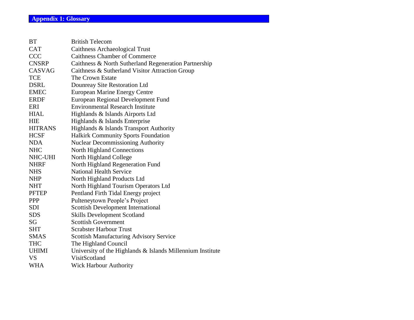| BT             | <b>British Telecom</b>                                     |
|----------------|------------------------------------------------------------|
| <b>CAT</b>     | <b>Caithness Archaeological Trust</b>                      |
| <b>CCC</b>     | <b>Caithness Chamber of Commerce</b>                       |
| <b>CNSRP</b>   | Caithness & North Sutherland Regeneration Partnership      |
| <b>CASVAG</b>  | Caithness & Sutherland Visitor Attraction Group            |
| <b>TCE</b>     | The Crown Estate                                           |
| <b>DSRL</b>    | Dounreay Site Restoration Ltd                              |
| <b>EMEC</b>    | <b>European Marine Energy Centre</b>                       |
| <b>ERDF</b>    | European Regional Development Fund                         |
| ERI            | <b>Environmental Research Institute</b>                    |
| <b>HIAL</b>    | Highlands & Islands Airports Ltd                           |
| <b>HIE</b>     | Highlands & Islands Enterprise                             |
| <b>HITRANS</b> | Highlands & Islands Transport Authority                    |
| <b>HCSF</b>    | Halkirk Community Sports Foundation                        |
| <b>NDA</b>     | <b>Nuclear Decommissioning Authority</b>                   |
| <b>NHC</b>     | North Highland Connections                                 |
| NHC-UHI        | North Highland College                                     |
| <b>NHRF</b>    | North Highland Regeneration Fund                           |
| <b>NHS</b>     | <b>National Health Service</b>                             |
| <b>NHP</b>     | North Highland Products Ltd                                |
| <b>NHT</b>     | North Highland Tourism Operators Ltd                       |
| <b>PFTEP</b>   | Pentland Firth Tidal Energy project                        |
| <b>PPP</b>     | Pulteneytown People's Project                              |
| <b>SDI</b>     | <b>Scottish Development International</b>                  |
| <b>SDS</b>     | <b>Skills Development Scotland</b>                         |
| SG             | <b>Scottish Government</b>                                 |
| <b>SHT</b>     | <b>Scrabster Harbour Trust</b>                             |
| <b>SMAS</b>    | <b>Scottish Manufacturing Advisory Service</b>             |
| <b>THC</b>     | The Highland Council                                       |
| <b>UHIMI</b>   | University of the Highlands & Islands Millennium Institute |
| <b>VS</b>      | VisitScotland                                              |
| <b>WHA</b>     | <b>Wick Harbour Authority</b>                              |
|                |                                                            |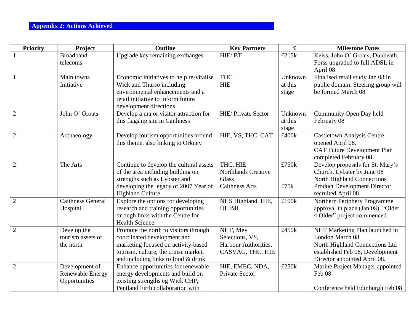### **Appendix 2: Actions Achieved**

| <b>Priority</b> | Project                                                    | <b>Outline</b>                                                                                                                                                                             | <b>Key Partners</b>                                                      | $\mathbf f$                 | <b>Milestone Dates</b>                                                                                                                                           |
|-----------------|------------------------------------------------------------|--------------------------------------------------------------------------------------------------------------------------------------------------------------------------------------------|--------------------------------------------------------------------------|-----------------------------|------------------------------------------------------------------------------------------------------------------------------------------------------------------|
| $\mathbf{1}$    | <b>Broadband</b><br>telecoms                               | Upgrade key remaining exchanges                                                                                                                                                            | HIE/BT                                                                   | £215k                       | Keiss, John O' Groats, Dunbeath,<br>Forss upgraded to full ADSL in<br>April 08                                                                                   |
| $\mathbf{1}$    | Main towns<br>Initiative                                   | Economic initiatives to help re-vitalise<br>Wick and Thurso including<br>environmental enhancements and a<br>retail initiative to inform future<br>development directions                  | <b>THC</b><br><b>HIE</b>                                                 | Unknown<br>at this<br>stage | Finalised retail study Jan 08 in<br>public domain. Steering group will<br>be formed March 08                                                                     |
| $\overline{2}$  | John O' Groats                                             | Develop a major visitor attraction for<br>this flagship site in Caithness                                                                                                                  | <b>HIE/ Private Sector</b>                                               | Unknown<br>at this<br>stage | Community Open Day held<br>February 08                                                                                                                           |
| $\overline{2}$  | Archaeology                                                | Develop tourism opportunities around<br>this theme, also linking to Orkney                                                                                                                 | HIE, VS, THC, CAT                                                        | £400k                       | <b>Castletown Analysis Centre</b><br>opened April 08.<br><b>CAT Future Development Plan</b><br>completed February 08.                                            |
| $\overline{2}$  | The Arts                                                   | Continue to develop the cultural assets<br>of the area including building on<br>strengths such as Lybster and<br>developing the legacy of 2007 Year of<br><b>Highland Culture</b>          | THC, HIE<br><b>Northlands Creative</b><br>Glass<br><b>Caithness Arts</b> | £750k<br>£75k               | Develop proposals for St. Mary's<br>Church, Lybster by June 08<br><b>North Highland Connections</b><br><b>Product Development Director</b><br>recruited April 08 |
| $\overline{2}$  | <b>Caithness General</b><br>Hospital                       | Explore the options for developing<br>research and training opportunities<br>through links with the Centre for<br>Health Science.                                                          | NHS Highland, HIE,<br><b>UHIMI</b>                                       | £100k                       | Northern Periphery Programme<br>approval in place (Jan 08). "Older<br>4 Older" project commenced.                                                                |
| $\overline{2}$  | Develop the<br>tourism assets of<br>the north              | Promote the north to visitors through<br>coordinated development and<br>marketing focused on activity-based<br>tourism, culture, the cruise market,<br>and including links to food & drink | NHT, Mey<br>Selections, VS,<br>Harbour Authorities,<br>CASVAG, THC, HIE  | £450k                       | NHT Marketing Plan launched in<br>London March 08<br>North Highland Connections Ltd<br>established Feb 08, Development<br>Director appointed April 08.           |
| $\overline{2}$  | Development of<br><b>Renewable Energy</b><br>Opportunities | Enhance opportunities for renewable<br>energy developments and build on<br>existing strengths eg Wick CHP,<br>Pentland Firth collaboration with                                            | HIE, EMEC, NDA,<br><b>Private Sector</b>                                 | £250k                       | Marine Project Manager appointed<br>Feb 08<br>Conference held Edinburgh Feb 08                                                                                   |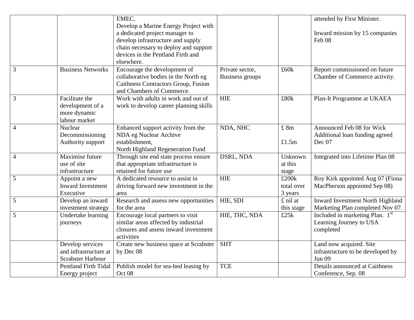|                |                                                                     | EMEC.<br>Develop a Marine Energy Project with                                                                                                                   |                                           |                                | attended by First Minister.                                                         |
|----------------|---------------------------------------------------------------------|-----------------------------------------------------------------------------------------------------------------------------------------------------------------|-------------------------------------------|--------------------------------|-------------------------------------------------------------------------------------|
|                |                                                                     | a dedicated project manager to<br>develop infrastructure and supply<br>chain necessary to deploy and support<br>devices in the Pentland Firth and<br>elsewhere. |                                           |                                | Inward mission by 15 companies<br>Feb 08                                            |
| 3              | <b>Business Networks</b>                                            | Encourage the development of<br>collaborative bodies in the North eg<br>Caithness Contractors Group, Fusion<br>and Chambers of Commerce.                        | Private sector,<br><b>Business</b> groups | £60k                           | Report commissioned on future<br>Chamber of Commerce activity.                      |
| 3              | Facilitate the<br>development of a<br>more dynamic<br>labour market | Work with adults in work and out of<br>work to develop career planning skills                                                                                   | <b>HIE</b>                                | £80k                           | Plan-It Programme at UKAEA                                                          |
| $\overline{4}$ | Nuclear<br>Decommissioning<br>Authority support                     | Enhanced support activity from the<br>NDA eg Nuclear Archive<br>establishment,<br>North Highland Regeneration Fund                                              | NDA, NHC                                  | £ 8m<br>£1.5m                  | Announced Feb 08 for Wick<br>Additional loan funding agreed<br>Dec 07               |
| $\overline{4}$ | Maximise future<br>use of site<br>infrastructure                    | Through site end state process ensure<br>that appropriate infrastructure is<br>retained for future use                                                          | DSRL, NDA                                 | Unknown<br>at this<br>stage    | Integrated into Lifetime Plan 08                                                    |
| 5              | Appoint a new<br>Inward Investment<br>Executive                     | A dedicated resource to assist in<br>driving forward new investment in the<br>area                                                                              | <b>HIE</b>                                | £200k<br>total over<br>3 years | Roy Kirk appointed Aug 07 (Fiona<br>MacPherson appointed Sep 08)                    |
| 5              | Develop an inward<br>investment strategy                            | Research and assess new opportunities<br>for the area                                                                                                           | HIE, SDI                                  | £ nil at<br>this stage         | Inward Investment North Highland<br>Marketing Plan completed Nov 07.                |
| 5              | Undertake learning<br>journeys                                      | Encourage local partners to visit<br>similar areas affected by industrial<br>closures and assess inward investment<br>activities                                | HIE, THC, NDA                             | £25k                           | Included in marketing Plan. 1 <sup>st</sup><br>Learning Journey to USA<br>completed |
|                | Develop services<br>and infrastructure at<br>Scrabster Harbour      | Create new business space at Scrabster<br>by Dec 08                                                                                                             | <b>SHT</b>                                |                                | Land now acquired. Site<br>infrastructure to be developed by<br><b>Jun 09</b>       |
|                | <b>Pentland Firth Tidal</b><br>Energy project                       | Publish model for sea-bed leasing by<br>Oct 08                                                                                                                  | <b>TCE</b>                                |                                | Details announced at Caithness<br>Conference, Sep. 08                               |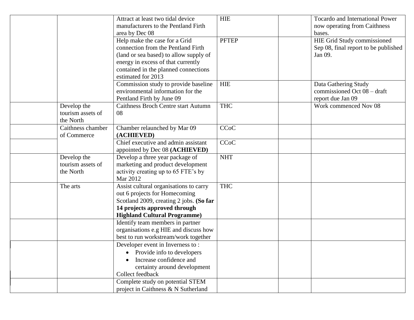|                                  | Attract at least two tidal device          | <b>HIE</b>   | <b>Tocardo and International Power</b> |
|----------------------------------|--------------------------------------------|--------------|----------------------------------------|
|                                  | manufacturers to the Pentland Firth        |              | now operating from Caithness           |
|                                  | area by Dec 08                             |              | bases.                                 |
|                                  | Help make the case for a Grid              | <b>PFTEP</b> | HIE Grid Study commissioned            |
|                                  | connection from the Pentland Firth         |              | Sep 08, final report to be published   |
|                                  | (land or sea based) to allow supply of     |              | Jan 09.                                |
|                                  | energy in excess of that currently         |              |                                        |
|                                  | contained in the planned connections       |              |                                        |
|                                  | estimated for 2013                         |              |                                        |
|                                  | Commission study to provide baseline       | <b>HIE</b>   | Data Gathering Study                   |
|                                  | environmental information for the          |              | commissioned Oct 08 – draft            |
|                                  | Pentland Firth by June 09                  |              | report due Jan 09                      |
| Develop the                      | <b>Caithness Broch Centre start Autumn</b> | <b>THC</b>   | Work commenced Nov 08                  |
| tourism assets of                | 08                                         |              |                                        |
| the North                        |                                            |              |                                        |
| Caithness chamber                | Chamber relaunched by Mar 09               | <b>CCoC</b>  |                                        |
| of Commerce                      | (ACHIEVED)                                 |              |                                        |
|                                  | Chief executive and admin assistant        | CCoC         |                                        |
|                                  | appointed by Dec 08 (ACHIEVED)             |              |                                        |
|                                  | Develop a three year package of            | <b>NHT</b>   |                                        |
| Develop the<br>tourism assets of |                                            |              |                                        |
|                                  | marketing and product development          |              |                                        |
| the North                        | activity creating up to 65 FTE's by        |              |                                        |
|                                  | Mar 2012                                   |              |                                        |
| The arts                         | Assist cultural organisations to carry     | <b>THC</b>   |                                        |
|                                  | out 6 projects for Homecoming              |              |                                        |
|                                  | Scotland 2009, creating 2 jobs. (So far    |              |                                        |
|                                  | 14 projects approved through               |              |                                        |
|                                  | <b>Highland Cultural Programme)</b>        |              |                                        |
|                                  | Identify team members in partner           |              |                                        |
|                                  | organisations e.g HIE and discuss how      |              |                                        |
|                                  | best to run workstream/work together       |              |                                        |
|                                  | Developer event in Inverness to:           |              |                                        |
|                                  | Provide info to developers                 |              |                                        |
|                                  | Increase confidence and                    |              |                                        |
|                                  | certainty around development               |              |                                        |
|                                  | Collect feedback                           |              |                                        |
|                                  | Complete study on potential STEM           |              |                                        |
|                                  | project in Caithness & N Sutherland        |              |                                        |